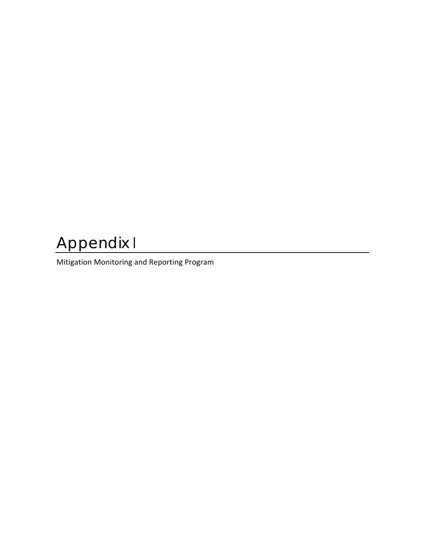## Appendix I

Mitigation Monitoring and Reporting Program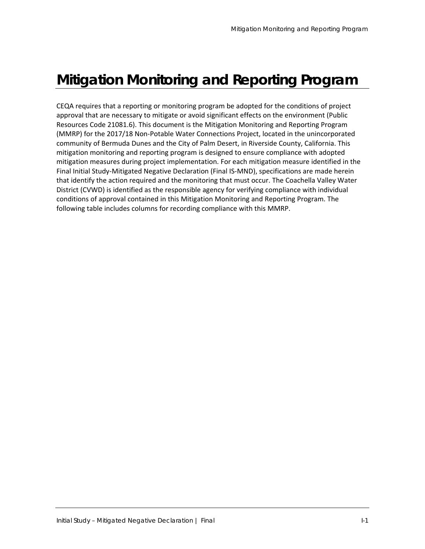## **Mitigation Monitoring and Reporting Program**

CEQA requires that a reporting or monitoring program be adopted for the conditions of project approval that are necessary to mitigate or avoid significant effects on the environment (Public Resources Code 21081.6). This document is the Mitigation Monitoring and Reporting Program (MMRP) for the 2017/18 Non‐Potable Water Connections Project, located in the unincorporated community of Bermuda Dunes and the City of Palm Desert, in Riverside County, California. This mitigation monitoring and reporting program is designed to ensure compliance with adopted mitigation measures during project implementation. For each mitigation measure identified in the Final Initial Study‐Mitigated Negative Declaration (Final IS‐MND), specifications are made herein that identify the action required and the monitoring that must occur. The Coachella Valley Water District (CVWD) is identified as the responsible agency for verifying compliance with individual conditions of approval contained in this Mitigation Monitoring and Reporting Program. The following table includes columns for recording compliance with this MMRP.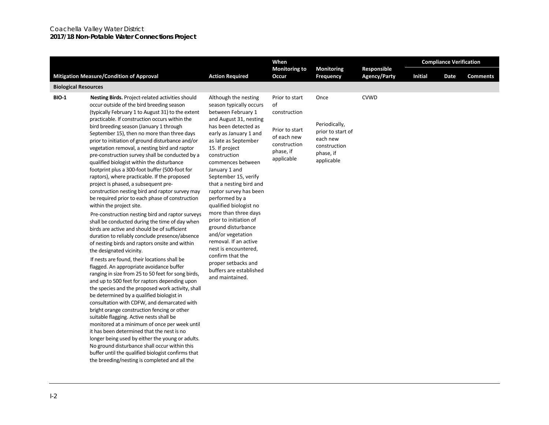## Coachella Valley Water District **2017/18 Non-Potable Water Connections Project**

|                             |                                                                                                                                                                                                                                                                                                                                                                                                                                                                                                                                                                                                                                                                                                                                                        |                                                                                                                                                                                                                                                                                                                                                  | When                                                                                                             |                                                                                                   |                                    | <b>Compliance Verification</b> |      |                 |  |  |  |  |  |  |
|-----------------------------|--------------------------------------------------------------------------------------------------------------------------------------------------------------------------------------------------------------------------------------------------------------------------------------------------------------------------------------------------------------------------------------------------------------------------------------------------------------------------------------------------------------------------------------------------------------------------------------------------------------------------------------------------------------------------------------------------------------------------------------------------------|--------------------------------------------------------------------------------------------------------------------------------------------------------------------------------------------------------------------------------------------------------------------------------------------------------------------------------------------------|------------------------------------------------------------------------------------------------------------------|---------------------------------------------------------------------------------------------------|------------------------------------|--------------------------------|------|-----------------|--|--|--|--|--|--|
|                             | <b>Mitigation Measure/Condition of Approval</b>                                                                                                                                                                                                                                                                                                                                                                                                                                                                                                                                                                                                                                                                                                        | <b>Action Required</b>                                                                                                                                                                                                                                                                                                                           | <b>Monitoring to</b><br>Occur                                                                                    | <b>Monitoring</b><br>Frequency                                                                    | Responsible<br><b>Agency/Party</b> | <b>Initial</b>                 | Date | <b>Comments</b> |  |  |  |  |  |  |
| <b>Biological Resources</b> |                                                                                                                                                                                                                                                                                                                                                                                                                                                                                                                                                                                                                                                                                                                                                        |                                                                                                                                                                                                                                                                                                                                                  |                                                                                                                  |                                                                                                   |                                    |                                |      |                 |  |  |  |  |  |  |
| <b>BIO-1</b>                | Nesting Birds. Project-related activities should<br>occur outside of the bird breeding season<br>(typically February 1 to August 31) to the extent<br>practicable. If construction occurs within the<br>bird breeding season (January 1 through<br>September 15), then no more than three days<br>prior to initiation of ground disturbance and/or<br>vegetation removal, a nesting bird and raptor<br>pre-construction survey shall be conducted by a<br>qualified biologist within the disturbance<br>footprint plus a 300-foot buffer (500-foot for<br>raptors), where practicable. If the proposed<br>project is phased, a subsequent pre-<br>construction nesting bird and raptor survey may<br>be required prior to each phase of construction   | Although the nesting<br>season typically occurs<br>between February 1<br>and August 31, nesting<br>has been detected as<br>early as January 1 and<br>as late as September<br>15. If project<br>construction<br>commences between<br>January 1 and<br>September 15, verify<br>that a nesting bird and<br>raptor survey has been<br>performed by a | Prior to start<br>of<br>construction<br>Prior to start<br>of each new<br>construction<br>phase, if<br>applicable | Once<br>Periodically,<br>prior to start of<br>each new<br>construction<br>phase, if<br>applicable | <b>CVWD</b>                        |                                |      |                 |  |  |  |  |  |  |
|                             | within the project site.<br>Pre-construction nesting bird and raptor surveys<br>shall be conducted during the time of day when<br>birds are active and should be of sufficient<br>duration to reliably conclude presence/absence<br>of nesting birds and raptors onsite and within<br>the designated vicinity.                                                                                                                                                                                                                                                                                                                                                                                                                                         | qualified biologist no<br>more than three days<br>prior to initiation of<br>ground disturbance<br>and/or vegetation<br>removal. If an active<br>nest is encountered,<br>confirm that the<br>proper setbacks and<br>buffers are established<br>and maintained.                                                                                    |                                                                                                                  |                                                                                                   |                                    |                                |      |                 |  |  |  |  |  |  |
|                             | If nests are found, their locations shall be<br>flagged. An appropriate avoidance buffer<br>ranging in size from 25 to 50 feet for song birds,<br>and up to 500 feet for raptors depending upon<br>the species and the proposed work activity, shall<br>be determined by a qualified biologist in<br>consultation with CDFW, and demarcated with<br>bright orange construction fencing or other<br>suitable flagging. Active nests shall be<br>monitored at a minimum of once per week until<br>it has been determined that the nest is no<br>longer being used by either the young or adults.<br>No ground disturbance shall occur within this<br>buffer until the qualified biologist confirms that<br>the breeding/nesting is completed and all the |                                                                                                                                                                                                                                                                                                                                                  |                                                                                                                  |                                                                                                   |                                    |                                |      |                 |  |  |  |  |  |  |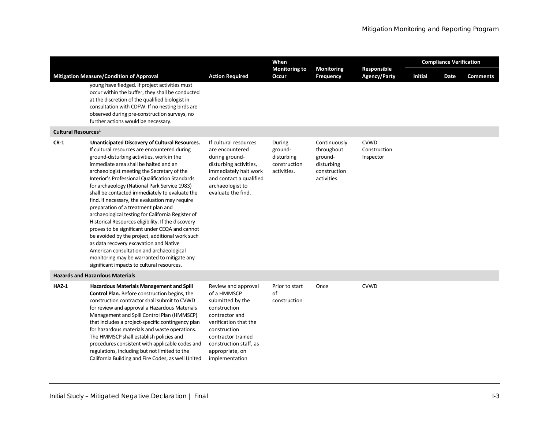|                                 |                                                                                                                                                                                                                                                                                                                                                                                                                                                                                                                                                                                                                                                                                                                                                                                                                                                                                     |                                                                                                                                                                                                                        | When                                                           |                                                                                    |                                          | <b>Compliance Verification</b> |      |                 |  |
|---------------------------------|-------------------------------------------------------------------------------------------------------------------------------------------------------------------------------------------------------------------------------------------------------------------------------------------------------------------------------------------------------------------------------------------------------------------------------------------------------------------------------------------------------------------------------------------------------------------------------------------------------------------------------------------------------------------------------------------------------------------------------------------------------------------------------------------------------------------------------------------------------------------------------------|------------------------------------------------------------------------------------------------------------------------------------------------------------------------------------------------------------------------|----------------------------------------------------------------|------------------------------------------------------------------------------------|------------------------------------------|--------------------------------|------|-----------------|--|
|                                 | <b>Mitigation Measure/Condition of Approval</b><br>young have fledged. If project activities must<br>occur within the buffer, they shall be conducted<br>at the discretion of the qualified biologist in<br>consultation with CDFW. If no nesting birds are<br>observed during pre-construction surveys, no<br>further actions would be necessary.                                                                                                                                                                                                                                                                                                                                                                                                                                                                                                                                  | <b>Action Required</b>                                                                                                                                                                                                 | <b>Monitoring to</b><br>Occur                                  | <b>Monitoring</b><br><b>Frequency</b>                                              | Responsible<br><b>Agency/Party</b>       | <b>Initial</b>                 | Date | <b>Comments</b> |  |
| Cultural Resources <sup>1</sup> |                                                                                                                                                                                                                                                                                                                                                                                                                                                                                                                                                                                                                                                                                                                                                                                                                                                                                     |                                                                                                                                                                                                                        |                                                                |                                                                                    |                                          |                                |      |                 |  |
| $CR-1$                          | Unanticipated Discovery of Cultural Resources.<br>If cultural resources are encountered during<br>ground-disturbing activities, work in the<br>immediate area shall be halted and an<br>archaeologist meeting the Secretary of the<br>Interior's Professional Qualification Standards<br>for archaeology (National Park Service 1983)<br>shall be contacted immediately to evaluate the<br>find. If necessary, the evaluation may require<br>preparation of a treatment plan and<br>archaeological testing for California Register of<br>Historical Resources eligibility. If the discovery<br>proves to be significant under CEQA and cannot<br>be avoided by the project, additional work such<br>as data recovery excavation and Native<br>American consultation and archaeological<br>monitoring may be warranted to mitigate any<br>significant impacts to cultural resources. | If cultural resources<br>are encountered<br>during ground-<br>disturbing activities,<br>immediately halt work<br>and contact a qualified<br>archaeologist to<br>evaluate the find.                                     | During<br>ground-<br>disturbing<br>construction<br>activities. | Continuously<br>throughout<br>ground-<br>disturbing<br>construction<br>activities. | <b>CVWD</b><br>Construction<br>Inspector |                                |      |                 |  |
|                                 | <b>Hazards and Hazardous Materials</b>                                                                                                                                                                                                                                                                                                                                                                                                                                                                                                                                                                                                                                                                                                                                                                                                                                              |                                                                                                                                                                                                                        |                                                                |                                                                                    |                                          |                                |      |                 |  |
| $HAZ-1$                         | Hazardous Materials Management and Spill<br><b>Control Plan.</b> Before construction begins, the<br>construction contractor shall submit to CVWD<br>for review and approval a Hazardous Materials<br>Management and Spill Control Plan (HMMSCP)<br>that includes a project-specific contingency plan<br>for hazardous materials and waste operations.<br>The HMMSCP shall establish policies and<br>procedures consistent with applicable codes and<br>regulations, including but not limited to the<br>California Building and Fire Codes, as well United                                                                                                                                                                                                                                                                                                                          | Review and approval<br>of a HMMSCP<br>submitted by the<br>construction<br>contractor and<br>verification that the<br>construction<br>contractor trained<br>construction staff, as<br>appropriate, on<br>implementation | Prior to start<br>of<br>construction                           | Once                                                                               | <b>CVWD</b>                              |                                |      |                 |  |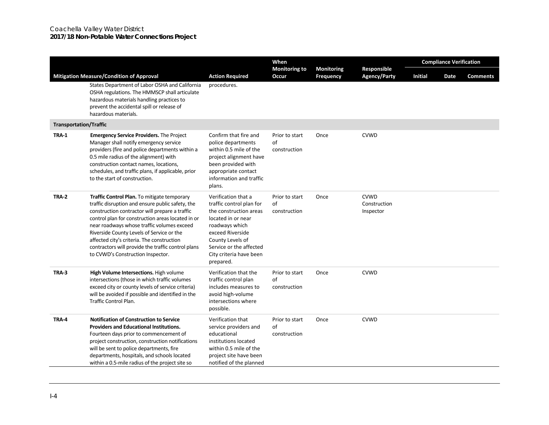## Coachella Valley Water District **2017/18 Non-Potable Water Connections Project**

|                                                 |                                                                                                                                                                                                                                                                                                                                                                                                                                            |                                                                                                                                                                                                                              | When                                 |                                |                                          | <b>Compliance Verification</b> |      |                 |  |
|-------------------------------------------------|--------------------------------------------------------------------------------------------------------------------------------------------------------------------------------------------------------------------------------------------------------------------------------------------------------------------------------------------------------------------------------------------------------------------------------------------|------------------------------------------------------------------------------------------------------------------------------------------------------------------------------------------------------------------------------|--------------------------------------|--------------------------------|------------------------------------------|--------------------------------|------|-----------------|--|
| <b>Mitigation Measure/Condition of Approval</b> |                                                                                                                                                                                                                                                                                                                                                                                                                                            | <b>Action Required</b>                                                                                                                                                                                                       | <b>Monitoring to</b><br>Occur        | <b>Monitoring</b><br>Frequency | Responsible<br><b>Agency/Party</b>       | <b>Initial</b>                 | Date | <b>Comments</b> |  |
|                                                 | States Department of Labor OSHA and California<br>OSHA regulations. The HMMSCP shall articulate<br>hazardous materials handling practices to<br>prevent the accidental spill or release of<br>hazardous materials.                                                                                                                                                                                                                         | procedures.                                                                                                                                                                                                                  |                                      |                                |                                          |                                |      |                 |  |
| <b>Transportation/Traffic</b>                   |                                                                                                                                                                                                                                                                                                                                                                                                                                            |                                                                                                                                                                                                                              |                                      |                                |                                          |                                |      |                 |  |
| <b>TRA-1</b>                                    | <b>Emergency Service Providers.</b> The Project<br>Manager shall notify emergency service<br>providers (fire and police departments within a<br>0.5 mile radius of the alignment) with<br>construction contact names, locations,<br>schedules, and traffic plans, if applicable, prior<br>to the start of construction.                                                                                                                    | Confirm that fire and<br>police departments<br>within 0.5 mile of the<br>project alignment have<br>been provided with<br>appropriate contact<br>information and traffic<br>plans.                                            | Prior to start<br>of<br>construction | Once                           | <b>CVWD</b>                              |                                |      |                 |  |
| TRA-2                                           | Traffic Control Plan. To mitigate temporary<br>traffic disruption and ensure public safety, the<br>construction contractor will prepare a traffic<br>control plan for construction areas located in or<br>near roadways whose traffic volumes exceed<br>Riverside County Levels of Service or the<br>affected city's criteria. The construction<br>contractors will provide the traffic control plans<br>to CVWD's Construction Inspector. | Verification that a<br>traffic control plan for<br>the construction areas<br>located in or near<br>roadways which<br>exceed Riverside<br>County Levels of<br>Service or the affected<br>City criteria have been<br>prepared. | Prior to start<br>of<br>construction | Once                           | <b>CVWD</b><br>Construction<br>Inspector |                                |      |                 |  |
| <b>TRA-3</b>                                    | High Volume Intersections. High volume<br>intersections (those in which traffic volumes<br>exceed city or county levels of service criteria)<br>will be avoided if possible and identified in the<br>Traffic Control Plan.                                                                                                                                                                                                                 | Verification that the<br>traffic control plan<br>includes measures to<br>avoid high-volume<br>intersections where<br>possible.                                                                                               | Prior to start<br>of<br>construction | Once                           | <b>CVWD</b>                              |                                |      |                 |  |
| TRA-4                                           | <b>Notification of Construction to Service</b><br><b>Providers and Educational Institutions.</b><br>Fourteen days prior to commencement of<br>project construction, construction notifications<br>will be sent to police departments, fire<br>departments, hospitals, and schools located<br>within a 0.5-mile radius of the project site so                                                                                               | Verification that<br>service providers and<br>educational<br>institutions located<br>within 0.5 mile of the<br>project site have been<br>notified of the planned                                                             | Prior to start<br>of<br>construction | Once                           | <b>CVWD</b>                              |                                |      |                 |  |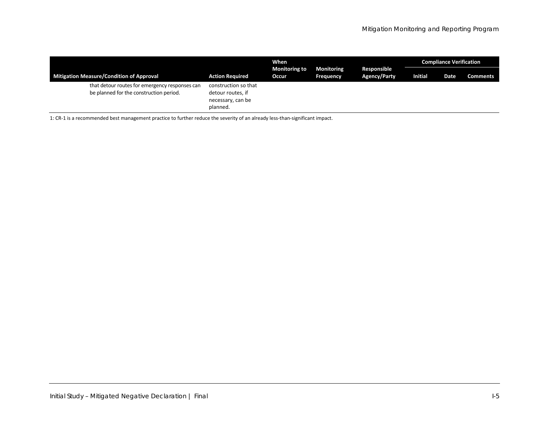|                                                                                           |                                                                            | When                          |                                |                                    | <b>Compliance Verification</b> |      |                 |  |
|-------------------------------------------------------------------------------------------|----------------------------------------------------------------------------|-------------------------------|--------------------------------|------------------------------------|--------------------------------|------|-----------------|--|
| <b>Mitigation Measure/Condition of Approval</b>                                           | <b>Action Required</b>                                                     | <b>Monitoring to</b><br>Occur | <b>Monitoring</b><br>Frequency | Responsible<br><b>Agency/Party</b> | <b>Initial</b>                 | Date | <b>Comments</b> |  |
| that detour routes for emergency responses can<br>be planned for the construction period. | construction so that<br>detour routes, if<br>necessary, can be<br>planned. |                               |                                |                                    |                                |      |                 |  |

1: CR‐1 is a recommended best management practice to further reduce the severity of an already less‐than‐significant impact.